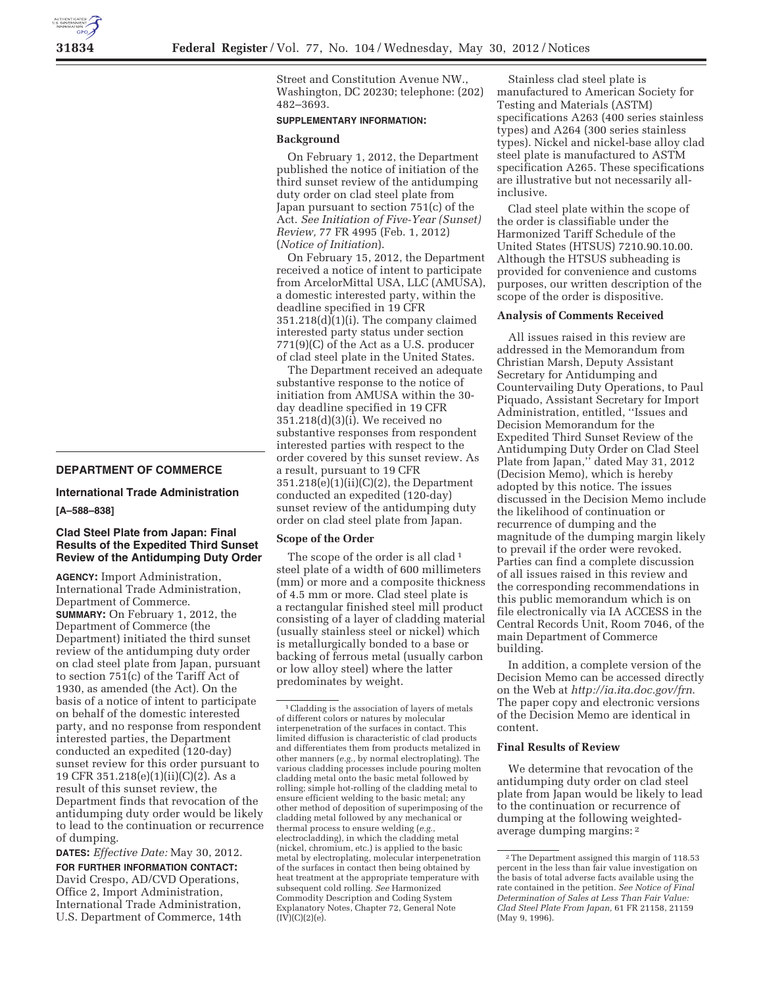### **DEPARTMENT OF COMMERCE**

# **International Trade Administration**

# **[A–588–838]**

# **Clad Steel Plate from Japan: Final Results of the Expedited Third Sunset Review of the Antidumping Duty Order**

**AGENCY:** Import Administration, International Trade Administration, Department of Commerce. **SUMMARY:** On February 1, 2012, the Department of Commerce (the Department) initiated the third sunset review of the antidumping duty order on clad steel plate from Japan, pursuant to section 751(c) of the Tariff Act of 1930, as amended (the Act). On the basis of a notice of intent to participate on behalf of the domestic interested party, and no response from respondent interested parties, the Department conducted an expedited (120-day) sunset review for this order pursuant to 19 CFR 351.218(e)(1)(ii)(C)(2). As a result of this sunset review, the Department finds that revocation of the antidumping duty order would be likely to lead to the continuation or recurrence of dumping.

**DATES:** *Effective Date:* May 30, 2012. **FOR FURTHER INFORMATION CONTACT:**  David Crespo, AD/CVD Operations, Office 2, Import Administration, International Trade Administration, U.S. Department of Commerce, 14th

Street and Constitution Avenue NW., Washington, DC 20230; telephone: (202) 482–3693.

## **SUPPLEMENTARY INFORMATION:**

#### **Background**

On February 1, 2012, the Department published the notice of initiation of the third sunset review of the antidumping duty order on clad steel plate from Japan pursuant to section 751(c) of the Act. *See Initiation of Five-Year (Sunset) Review,* 77 FR 4995 (Feb. 1, 2012) (*Notice of Initiation*).

On February 15, 2012, the Department received a notice of intent to participate from ArcelorMittal USA, LLC (AMUSA), a domestic interested party, within the deadline specified in 19 CFR 351.218(d)(1)(i). The company claimed interested party status under section 771(9)(C) of the Act as a U.S. producer of clad steel plate in the United States.

The Department received an adequate substantive response to the notice of initiation from AMUSA within the 30 day deadline specified in 19 CFR 351.218(d)(3)(i). We received no substantive responses from respondent interested parties with respect to the order covered by this sunset review. As a result, pursuant to 19 CFR 351.218(e)(1)(ii)(C)(2), the Department conducted an expedited (120-day) sunset review of the antidumping duty order on clad steel plate from Japan.

### **Scope of the Order**

The scope of the order is all clad<sup>1</sup> steel plate of a width of 600 millimeters (mm) or more and a composite thickness of 4.5 mm or more. Clad steel plate is a rectangular finished steel mill product consisting of a layer of cladding material (usually stainless steel or nickel) which is metallurgically bonded to a base or backing of ferrous metal (usually carbon or low alloy steel) where the latter predominates by weight.

Stainless clad steel plate is manufactured to American Society for Testing and Materials (ASTM) specifications A263 (400 series stainless types) and A264 (300 series stainless types). Nickel and nickel-base alloy clad steel plate is manufactured to ASTM specification A265. These specifications are illustrative but not necessarily allinclusive.

Clad steel plate within the scope of the order is classifiable under the Harmonized Tariff Schedule of the United States (HTSUS) 7210.90.10.00. Although the HTSUS subheading is provided for convenience and customs purposes, our written description of the scope of the order is dispositive.

#### **Analysis of Comments Received**

All issues raised in this review are addressed in the Memorandum from Christian Marsh, Deputy Assistant Secretary for Antidumping and Countervailing Duty Operations, to Paul Piquado, Assistant Secretary for Import Administration, entitled, ''Issues and Decision Memorandum for the Expedited Third Sunset Review of the Antidumping Duty Order on Clad Steel Plate from Japan,'' dated May 31, 2012 (Decision Memo), which is hereby adopted by this notice. The issues discussed in the Decision Memo include the likelihood of continuation or recurrence of dumping and the magnitude of the dumping margin likely to prevail if the order were revoked. Parties can find a complete discussion of all issues raised in this review and the corresponding recommendations in this public memorandum which is on file electronically via IA ACCESS in the Central Records Unit, Room 7046, of the main Department of Commerce building.

In addition, a complete version of the Decision Memo can be accessed directly on the Web at *http://ia.ita.doc.gov/frn*. The paper copy and electronic versions of the Decision Memo are identical in content.

## **Final Results of Review**

We determine that revocation of the antidumping duty order on clad steel plate from Japan would be likely to lead to the continuation or recurrence of dumping at the following weightedaverage dumping margins: 2

<sup>1</sup>Cladding is the association of layers of metals of different colors or natures by molecular interpenetration of the surfaces in contact. This limited diffusion is characteristic of clad products and differentiates them from products metalized in other manners (*e.g.,* by normal electroplating). The various cladding processes include pouring molten cladding metal onto the basic metal followed by rolling; simple hot-rolling of the cladding metal to ensure efficient welding to the basic metal; any other method of deposition of superimposing of the cladding metal followed by any mechanical or thermal process to ensure welding (*e.g.,*  electrocladding), in which the cladding metal (nickel, chromium, etc.) is applied to the basic metal by electroplating, molecular interpenetration of the surfaces in contact then being obtained by heat treatment at the appropriate temperature with subsequent cold rolling. *See* Harmonized Commodity Description and Coding System Explanatory Notes, Chapter 72, General Note  $(IV)(C)(2)(e)$ .

<sup>2</sup>The Department assigned this margin of 118.53 percent in the less than fair value investigation on the basis of total adverse facts available using the rate contained in the petition. *See Notice of Final Determination of Sales at Less Than Fair Value: Clad Steel Plate From Japan,* 61 FR 21158, 21159 (May 9, 1996).